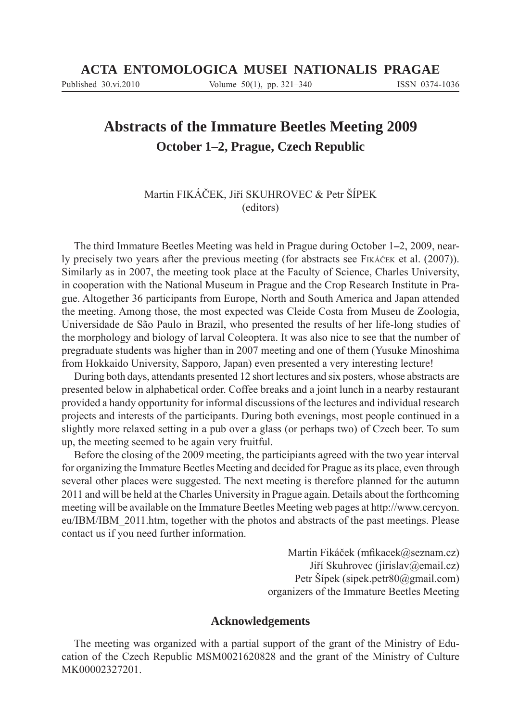# **Abstracts of the Immature Beetles Meeting 2009 October 1–2, Prague, Czech Republic**

Martin FIKÁČEK, Jiří SKUHROVEC & Petr ŠÍPEK (editors)

The third Immature Beetles Meeting was held in Prague during October 1**–**2, 2009, nearly precisely two years after the previous meeting (for abstracts see FIKÁČEK et al. (2007)). Similarly as in 2007, the meeting took place at the Faculty of Science, Charles University, in cooperation with the National Museum in Prague and the Crop Research Institute in Prague. Altogether 36 participants from Europe, North and South America and Japan attended the meeting. Among those, the most expected was Cleide Costa from Museu de Zoologia, Universidade de São Paulo in Brazil, who presented the results of her life-long studies of the morphology and biology of larval Coleoptera. It was also nice to see that the number of pregraduate students was higher than in 2007 meeting and one of them (Yusuke Minoshima from Hokkaido University, Sapporo, Japan) even presented a very interesting lecture!

During both days, attendants presented 12 short lectures and six posters, whose abstracts are presented below in alphabetical order. Coffee breaks and a joint lunch in a nearby restaurant provided a handy opportunity for informal discussions of the lectures and individual research projects and interests of the participants. During both evenings, most people continued in a slightly more relaxed setting in a pub over a glass (or perhaps two) of Czech beer. To sum up, the meeting seemed to be again very fruitful.

Before the closing of the 2009 meeting, the participiants agreed with the two year interval for organizing the Immature Beetles Meeting and decided for Prague as its place, even through several other places were suggested. The next meeting is therefore planned for the autumn 2011 and will be held at the Charles University in Prague again. Details about the forthcoming meeting will be available on the Immature Beetles Meeting web pages at http://www.cercyon. eu/IBM/IBM\_2011.htm, together with the photos and abstracts of the past meetings. Please contact us if you need further information.

> Martin Fikáček (mfikacek@seznam.cz) Jiří Skuhrovec (jirislav@email.cz) Petr Šípek (sipek.petr80@gmail.com) organizers of the Immature Beetles Meeting

### **Acknowledgements**

The meeting was organized with a partial support of the grant of the Ministry of Education of the Czech Republic MSM0021620828 and the grant of the Ministry of Culture MK00002327201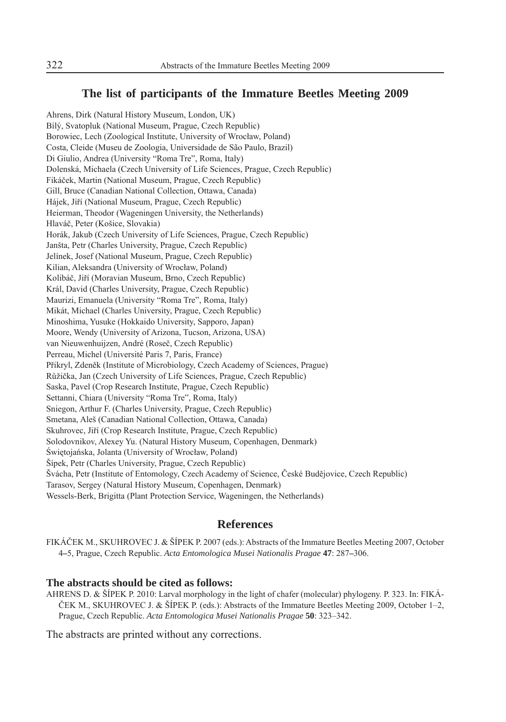### **The list of participants of the Immature Beetles Meeting 2009**

Ahrens, Dirk (Natural History Museum, London, UK) Bílý, Svatopluk (National Museum, Prague, Czech Republic) Borowiec, Lech (Zoological Institute, University of Wrocław, Poland) Costa, Cleide (Museu de Zoologia, Universidade de São Paulo, Brazil) Di Giulio, Andrea (University "Roma Tre", Roma, Italy) Dolenská, Michaela (Czech University of Life Sciences, Prague, Czech Republic) Fikáček, Martin (National Museum, Prague, Czech Republic) Gill, Bruce (Canadian National Collection, Ottawa, Canada) Hájek, Jiří (National Museum, Prague, Czech Republic) Heierman, Theodor (Wageningen University, the Netherlands) Hlaváč, Peter (Košice, Slovakia) Horák, Jakub (Czech University of Life Sciences, Prague, Czech Republic) Janšta, Petr (Charles University, Prague, Czech Republic) Jelínek, Josef (National Museum, Prague, Czech Republic) Kilian, Aleksandra (University of Wrocław, Poland) Kolibáč, Jiří (Moravian Museum, Brno, Czech Republic) Král, David (Charles University, Prague, Czech Republic) Maurizi, Emanuela (University "Roma Tre", Roma, Italy) Mikát, Michael (Charles University, Prague, Czech Republic) Minoshima, Yusuke (Hokkaido University, Sapporo, Japan) Moore, Wendy (University of Arizona, Tucson, Arizona, USA) van Nieuwenhuijzen, André (Roseč, Czech Republic) Perreau, Michel (Université Paris 7, Paris, France) Přikryl, Zdeněk (Institute of Microbiology, Czech Academy of Sciences, Prague) Růžička, Jan (Czech University of Life Sciences, Prague, Czech Republic) Saska, Pavel (Crop Research Institute, Prague, Czech Republic) Settanni, Chiara (University "Roma Tre", Roma, Italy) Sniegon, Arthur F. (Charles University, Prague, Czech Republic) Smetana, Aleš (Canadian National Collection, Ottawa, Canada) Skuhrovec, Jiří (Crop Research Institute, Prague, Czech Republic) Solodovnikov, Alexey Yu. (Natural History Museum, Copenhagen, Denmark) Świętojańska, Jolanta (University of Wrocław, Poland) Šípek, Petr (Charles University, Prague, Czech Republic) Švácha, Petr (Institute of Entomology, Czech Academy of Science, České Budějovice, Czech Republic) Tarasov, Sergey (Natural History Museum, Copenhagen, Denmark) Wessels-Berk, Brigitta (Plant Protection Service, Wageningen, the Netherlands)

### **References**

FIKÁČEK M., SKUHROVEC J. & ŠÍPEK P. 2007 (eds.): Abstracts of the Immature Beetles Meeting 2007, October 4**–**5, Prague, Czech Republic. *Acta Entomologica Musei Nationalis Pragae* **47**: 287**–**306.

#### **The abstracts should be cited as follows:**

AHRENS D. & ŠÍPEK P. 2010: Larval morphology in the light of chafer (molecular) phylogeny. P. 323. In: FIKÁ-ČEK M., SKUHROVEC J. & ŠÍPEK P. (eds.): Abstracts of the Immature Beetles Meeting 2009, October 1–2, Prague, Czech Republic. *Acta Entomologica Musei Nationalis Pragae* **50**: 323–342.

The abstracts are printed without any corrections.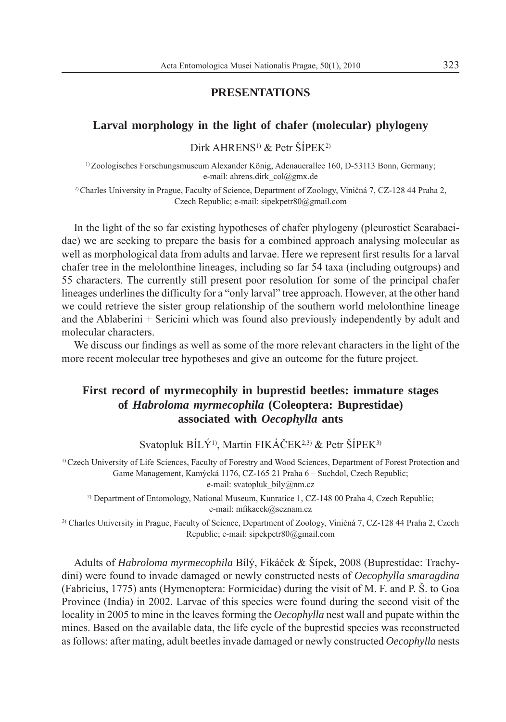# **PRESENTATIONS**

### **Larval morphology in the light of chafer (molecular) phylogeny**

Dirk AHRENS<sup>1)</sup> & Petr ŠÍPEK<sup>2)</sup>

1) Zoologisches Forschungsmuseum Alexander König, Adenauerallee 160, D-53113 Bonn, Germany; e-mail: ahrens.dirk\_col@gmx.de

2) Charles University in Prague, Faculty of Science, Department of Zoology, Viničná 7, CZ-128 44 Praha 2, Czech Republic; e-mail: sipekpetr80@gmail.com

In the light of the so far existing hypotheses of chafer phylogeny (pleurostict Scarabaeidae) we are seeking to prepare the basis for a combined approach analysing molecular as well as morphological data from adults and larvae. Here we represent first results for a larval chafer tree in the melolonthine lineages, including so far 54 taxa (including outgroups) and 55 characters. The currently still present poor resolution for some of the principal chafer lineages underlines the difficulty for a "only larval" tree approach. However, at the other hand we could retrieve the sister group relationship of the southern world melolonthine lineage and the Ablaberini + Sericini which was found also previously independently by adult and molecular characters.

We discuss our findings as well as some of the more relevant characters in the light of the more recent molecular tree hypotheses and give an outcome for the future project.

# **First record of myrmecophily in buprestid beetles: immature stages of** *Habroloma myrmecophila* **(Coleoptera: Buprestidae) associated with** *Oecophylla* **ants**

Svatopluk BÍLÝ<sup>1)</sup>, Martin FIKÁČEK<sup>2,3)</sup> & Petr ŠÍPEK<sup>3)</sup>

<sup>1)</sup> Czech University of Life Sciences, Faculty of Forestry and Wood Sciences, Department of Forest Protection and Game Management, Kamýcká 1176, CZ-165 21 Praha 6 – Suchdol, Czech Republic; e-mail: svatopluk\_bily@nm.cz

2) Department of Entomology, National Museum, Kunratice 1, CZ-148 00 Praha 4, Czech Republic; e-mail: mfikacek@seznam.cz

3) Charles University in Prague, Faculty of Science, Department of Zoology, Viničná 7, CZ-128 44 Praha 2, Czech Republic; e-mail: sipekpetr80@gmail.com

Adults of *Habroloma myrmecophila* Bílý, Fikáček & Šípek, 2008 (Buprestidae: Trachydini) were found to invade damaged or newly constructed nests of *Oecophylla smaragdina*  (Fabricius, 1775) ants (Hymenoptera: Formicidae) during the visit of M. F. and P. Š. to Goa Province (India) in 2002. Larvae of this species were found during the second visit of the locality in 2005 to mine in the leaves forming the *Oecophylla* nest wall and pupate within the mines. Based on the available data, the life cycle of the buprestid species was reconstructed as follows: after mating, adult beetles invade damaged or newly constructed *Oecophylla* nests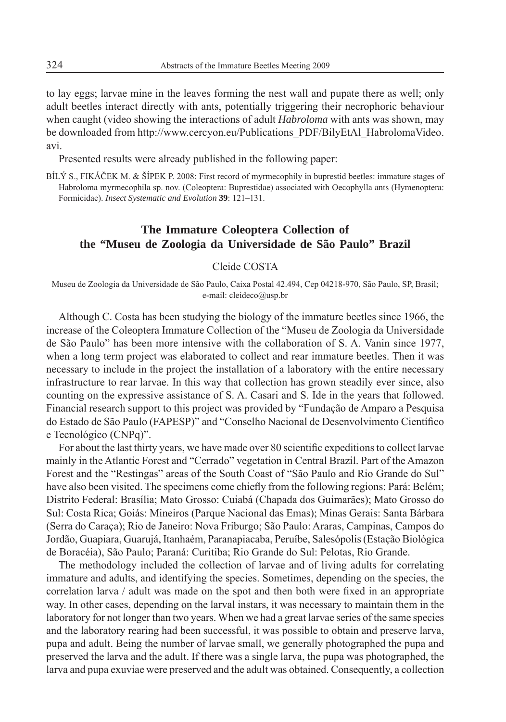to lay eggs; larvae mine in the leaves forming the nest wall and pupate there as well; only adult beetles interact directly with ants, potentially triggering their necrophoric behaviour when caught (video showing the interactions of adult *Habroloma* with ants was shown, may be downloaded from http://www.cercyon.eu/Publications\_PDF/BilyEtAl\_HabrolomaVideo. avi.

Presented results were already published in the following paper:

BÍLÝ S., FIKÁČEK M. & ŠÍPEK P. 2008: First record of myrmecophily in buprestid beetles: immature stages of Habroloma myrmecophila sp. nov. (Coleoptera: Buprestidae) associated with Oecophylla ants (Hymenoptera: Formicidae). *Insect Systematic and Evolution* **39**: 121–131.

# **The Immature Coleoptera Collection of the "Museu de Zoologia da Universidade de São Paulo" Brazil**

#### Cleide COSTA

Museu de Zoologia da Universidade de São Paulo, Caixa Postal 42.494, Cep 04218-970, São Paulo, SP, Brasil; e-mail: cleideco@usp.br

Although C. Costa has been studying the biology of the immature beetles since 1966, the increase of the Coleoptera Immature Collection of the "Museu de Zoologia da Universidade de São Paulo" has been more intensive with the collaboration of S. A. Vanin since 1977, when a long term project was elaborated to collect and rear immature beetles. Then it was necessary to include in the project the installation of a laboratory with the entire necessary infrastructure to rear larvae. In this way that collection has grown steadily ever since, also counting on the expressive assistance of S. A. Casari and S. Ide in the years that followed. Financial research support to this project was provided by "Fundação de Amparo a Pesquisa do Estado de São Paulo (FAPESP)" and "Conselho Nacional de Desenvolvimento Científico e Tecnológico (CNPq)".

For about the last thirty years, we have made over 80 scientific expeditions to collect larvae mainly in the Atlantic Forest and "Cerrado" vegetation in Central Brazil. Part of the Amazon Forest and the "Restingas" areas of the South Coast of "São Paulo and Rio Grande do Sul" have also been visited. The specimens come chiefly from the following regions: Pará: Belém; Distrito Federal: Brasília; Mato Grosso: Cuiabá (Chapada dos Guimarães); Mato Grosso do Sul: Costa Rica; Goiás: Mineiros (Parque Nacional das Emas); Minas Gerais: Santa Bárbara (Serra do Caraça); Rio de Janeiro: Nova Friburgo; São Paulo: Araras, Campinas, Campos do Jordão, Guapiara, Guarujá, Itanhaém, Paranapiacaba, Peruíbe, Salesópolis (Estação Biológica de Boracéia), São Paulo; Paraná: Curitiba; Rio Grande do Sul: Pelotas, Rio Grande.

The methodology included the collection of larvae and of living adults for correlating immature and adults, and identifying the species. Sometimes, depending on the species, the correlation larva / adult was made on the spot and then both were fixed in an appropriate way. In other cases, depending on the larval instars, it was necessary to maintain them in the laboratory for not longer than two years. When we had a great larvae series of the same species and the laboratory rearing had been successful, it was possible to obtain and preserve larva, pupa and adult. Being the number of larvae small, we generally photographed the pupa and preserved the larva and the adult. If there was a single larva, the pupa was photographed, the larva and pupa exuviae were preserved and the adult was obtained. Consequently, a collection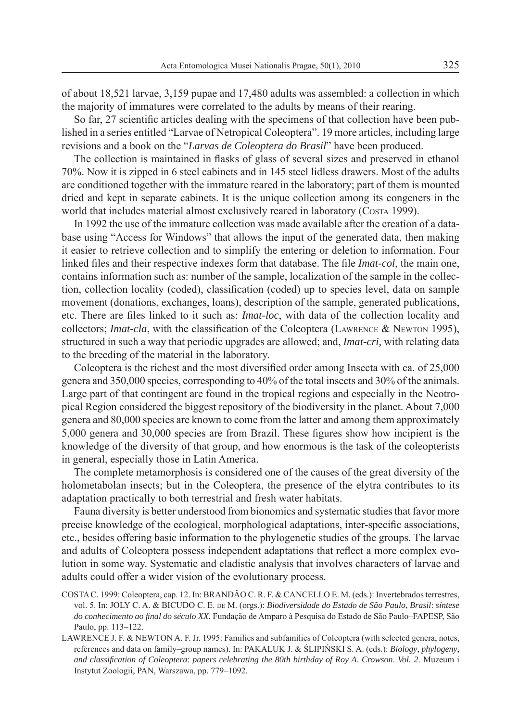of about 18,521 larvae, 3,159 pupae and 17,480 adults was assembled: a collection in which the majority of immatures were correlated to the adults by means of their rearing.

So far, 27 scientific articles dealing with the specimens of that collection have been published in a series entitled "Larvae of Netropical Coleoptera". 19 more articles, including large revisions and a book on the "*Larvas de Coleoptera do Brasil*" have been produced.

The collection is maintained in flasks of glass of several sizes and preserved in ethanol 70%. Now it is zipped in 6 steel cabinets and in 145 steel lidless drawers. Most of the adults are conditioned together with the immature reared in the laboratory; part of them is mounted dried and kept in separate cabinets. It is the unique collection among its congeners in the world that includes material almost exclusively reared in laboratory (Costa 1999).

In 1992 the use of the immature collection was made available after the creation of a database using "Access for Windows" that allows the input of the generated data, then making it easier to retrieve collection and to simplify the entering or deletion to information. Four linked files and their respective indexes form that database. The file *Imat-col*, the main one, contains information such as: number of the sample, localization of the sample in the collection, collection locality (coded), classification (coded) up to species level, data on sample movement (donations, exchanges, loans), description of the sample, generated publications, etc. There are files linked to it such as: *Imat-loc*, with data of the collection locality and collectors; *Imat-cla*, with the classification of the Coleoptera (LAWRENCE  $\&$  NEWTON 1995), structured in such a way that periodic upgrades are allowed; and, *Imat-cri,* with relating data to the breeding of the material in the laboratory.

Coleoptera is the richest and the most diversified order among Insecta with ca. of 25,000 genera and 350,000 species, corresponding to 40% of the total insects and 30% of the animals. Large part of that contingent are found in the tropical regions and especially in the Neotropical Region considered the biggest repository of the biodiversity in the planet. About 7,000 genera and 80,000 species are known to come from the latter and among them approximately  $5,000$  genera and  $30,000$  species are from Brazil. These figures show how incipient is the knowledge of the diversity of that group, and how enormous is the task of the coleopterists in general, especially those in Latin America.

The complete metamorphosis is considered one of the causes of the great diversity of the holometabolan insects; but in the Coleoptera, the presence of the elytra contributes to its adaptation practically to both terrestrial and fresh water habitats.

Fauna diversity is better understood from bionomics and systematic studies that favor more precise knowledge of the ecological, morphological adaptations, inter-specifi c associations, etc., besides offering basic information to the phylogenetic studies of the groups. The larvae and adults of Coleoptera possess independent adaptations that reflect a more complex evolution in some way. Systematic and cladistic analysis that involves characters of larvae and adults could offer a wider vision of the evolutionary process.

- COSTA C. 1999: Coleoptera, cap. 12. In: BRANDÃO C. R. F. & CANCELLO E. M. (eds.): Invertebrados terrestres, vol. 5. In: JOLY C. A. & BICUDO C. E. DE M. (orgs.): *Biodiversidade do Estado de São Paulo*, *Brasil*: *síntese do conhecimento ao fi nal do século XX.* Fundação de Amparo à Pesquisa do Estado de São Paulo–FAPESP, São Paulo, pp. 113–122.
- LAWRENCE J. F. & NEWTON A. F. Jr. 1995: Families and subfamilies of Coleoptera (with selected genera, notes, references and data on family–group names). In: PAKALUK J. & ŚLIPIŃSKI S. A. (eds.): *Biology*, *phylogeny*, *and classifi cation of Coleoptera*: *papers celebrating the 80th birthday of Roy A*. *Crowson*. *Vol. 2*. Muzeum i Instytut Zoologii, PAN, Warszawa, pp. 779–1092.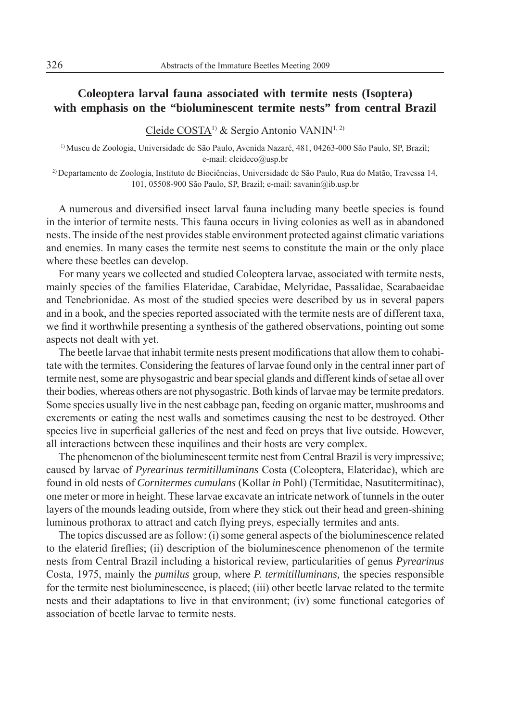# **Coleoptera larval fauna associated with termite nests (Isoptera) with emphasis on the "bioluminescent termite nests" from central Brazil**

Cleide COSTA1) & Sergio Antonio VANIN1, 2)

1) Museu de Zoologia, Universidade de São Paulo, Avenida Nazaré, 481, 04263-000 São Paulo, SP, Brazil; e-mail: cleideco@usp.br

2) Departamento de Zoologia, Instituto de Biociências, Universidade de São Paulo, Rua do Matão, Travessa 14, 101, 05508-900 São Paulo, SP, Brazil; e-mail: savanin@ib.usp.br

A numerous and diversified insect larval fauna including many beetle species is found in the interior of termite nests. This fauna occurs in living colonies as well as in abandoned nests. The inside of the nest provides stable environment protected against climatic variations and enemies. In many cases the termite nest seems to constitute the main or the only place where these beetles can develop.

For many years we collected and studied Coleoptera larvae, associated with termite nests, mainly species of the families Elateridae, Carabidae, Melyridae, Passalidae, Scarabaeidae and Tenebrionidae. As most of the studied species were described by us in several papers and in a book, and the species reported associated with the termite nests are of different taxa, we find it worthwhile presenting a synthesis of the gathered observations, pointing out some aspects not dealt with yet.

The beetle larvae that inhabit termite nests present modifications that allow them to cohabitate with the termites. Considering the features of larvae found only in the central inner part of termite nest, some are physogastric and bear special glands and different kinds of setae all over their bodies, whereas others are not physogastric. Both kinds of larvae may be termite predators. Some species usually live in the nest cabbage pan, feeding on organic matter, mushrooms and excrements or eating the nest walls and sometimes causing the nest to be destroyed. Other species live in superficial galleries of the nest and feed on prevs that live outside. However, all interactions between these inquilines and their hosts are very complex.

The phenomenon of the bioluminescent termite nest from Central Brazil is very impressive; caused by larvae of *Pyrearinus termitilluminans* Costa (Coleoptera, Elateridae), which are found in old nests of *Cornitermes cumulans* (Kollar *in* Pohl) (Termitidae, Nasutitermitinae), one meter or more in height. These larvae excavate an intricate network of tunnels in the outer layers of the mounds leading outside, from where they stick out their head and green-shining luminous prothorax to attract and catch flying preys, especially termites and ants.

The topics discussed are as follow: (i) some general aspects of the bioluminescence related to the elaterid fireflies; (ii) description of the bioluminescence phenomenon of the termite nests from Central Brazil including a historical review, particularities of genus *Pyrearinus*  Costa, 1975, mainly the *pumilus* group, where *P. termitilluminans,* the species responsible for the termite nest bioluminescence, is placed; (iii) other beetle larvae related to the termite nests and their adaptations to live in that environment; (iv) some functional categories of association of beetle larvae to termite nests.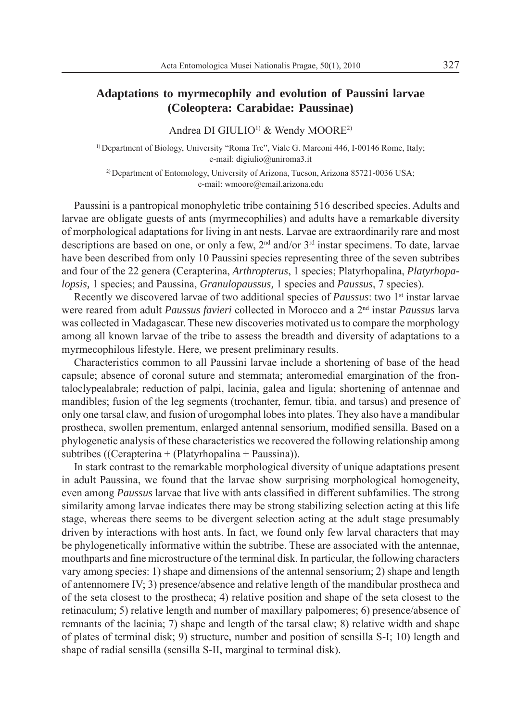# **Adaptations to myrmecophily and evolution of Paussini larvae (Coleoptera: Carabidae: Paussinae)**

#### Andrea DI GIULIO<sup>1)</sup> & Wendy MOORE<sup>2)</sup>

1) Department of Biology, University "Roma Tre", Viale G. Marconi 446, I-00146 Rome, Italy; e-mail: digiulio@uniroma3.it

2) Department of Entomology, University of Arizona, Tucson, Arizona 85721-0036 USA; e-mail: wmoore@email.arizona.edu

Paussini is a pantropical monophyletic tribe containing 516 described species. Adults and larvae are obligate guests of ants (myrmecophilies) and adults have a remarkable diversity of morphological adaptations for living in ant nests. Larvae are extraordinarily rare and most descriptions are based on one, or only a few,  $2<sup>nd</sup>$  and/or  $3<sup>rd</sup>$  instar specimens. To date, larvae have been described from only 10 Paussini species representing three of the seven subtribes and four of the 22 genera (Cerapterina, *Arthropterus*, 1 species; Platyrhopalina, *Platyrhopalopsis,* 1 species; and Paussina, *Granulopaussus,* 1 species and *Paussus*, 7 species).

Recently we discovered larvae of two additional species of *Paussus*: two 1<sup>st</sup> instar larvae were reared from adult *Paussus favieri* collected in Morocco and a 2nd instar *Paussus* larva was collected in Madagascar. These new discoveries motivated us to compare the morphology among all known larvae of the tribe to assess the breadth and diversity of adaptations to a myrmecophilous lifestyle. Here, we present preliminary results.

Characteristics common to all Paussini larvae include a shortening of base of the head capsule; absence of coronal suture and stemmata; anteromedial emargination of the frontaloclypealabrale; reduction of palpi, lacinia, galea and ligula; shortening of antennae and mandibles; fusion of the leg segments (trochanter, femur, tibia, and tarsus) and presence of only one tarsal claw, and fusion of urogomphal lobes into plates. They also have a mandibular prostheca, swollen prementum, enlarged antennal sensorium, modified sensilla. Based on a phylogenetic analysis of these characteristics we recovered the following relationship among subtribes ((Cerapterina + (Platyrhopalina + Paussina)).

In stark contrast to the remarkable morphological diversity of unique adaptations present in adult Paussina, we found that the larvae show surprising morphological homogeneity, even among *Paussus* larvae that live with ants classified in different subfamilies. The strong similarity among larvae indicates there may be strong stabilizing selection acting at this life stage, whereas there seems to be divergent selection acting at the adult stage presumably driven by interactions with host ants. In fact, we found only few larval characters that may be phylogenetically informative within the subtribe. These are associated with the antennae, mouthparts and fine microstructure of the terminal disk. In particular, the following characters vary among species: 1) shape and dimensions of the antennal sensorium; 2) shape and length of antennomere IV; 3) presence/absence and relative length of the mandibular prostheca and of the seta closest to the prostheca; 4) relative position and shape of the seta closest to the retinaculum; 5) relative length and number of maxillary palpomeres; 6) presence/absence of remnants of the lacinia; 7) shape and length of the tarsal claw; 8) relative width and shape of plates of terminal disk; 9) structure, number and position of sensilla S-I; 10) length and shape of radial sensilla (sensilla S-II, marginal to terminal disk).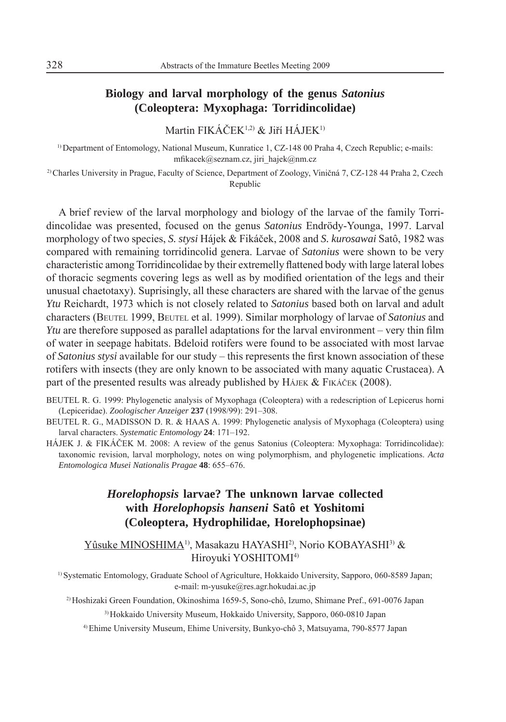# **Biology and larval morphology of the genus** *Satonius*  **(Coleoptera: Myxophaga: Torridincolidae)**

Martin FIKÁČEK1,2) & Jiří HÁJEK1)

<sup>1)</sup> Department of Entomology, National Museum, Kunratice 1, CZ-148 00 Praha 4, Czech Republic; e-mails: mfikacek@seznam.cz, jiri\_hajek@nm.cz

2) Charles University in Prague, Faculty of Science, Department of Zoology, Viničná 7, CZ-128 44 Praha 2, Czech Republic

A brief review of the larval morphology and biology of the larvae of the family Torridincolidae was presented, focused on the genus *Satonius* Endrödy-Younga, 1997. Larval morphology of two species, *S. stysi* Hájek & Fikáček, 2008 and *S. kurosawai* Satô, 1982 was compared with remaining torridincolid genera. Larvae of *Satonius* were shown to be very characteristic among Torridincolidae by their extremelly flattened body with large lateral lobes of thoracic segments covering legs as well as by modified orientation of the legs and their unusual chaetotaxy). Suprisingly, all these characters are shared with the larvae of the genus *Ytu* Reichardt, 1973 which is not closely related to *Satonius* based both on larval and adult characters (BEUTEL 1999, BEUTEL et al. 1999). Similar morphology of larvae of *Satonius* and *Ytu* are therefore supposed as parallel adaptations for the larval environment – very thin film of water in seepage habitats. Bdeloid rotifers were found to be associated with most larvae of *Satonius stysi* available for our study – this represents the first known association of these rotifers with insects (they are only known to be associated with many aquatic Crustacea). A part of the presented results was already published by HAJEK & FIKÁČEK (2008).

- BEUTEL R. G. 1999: Phylogenetic analysis of Myxophaga (Coleoptera) with a redescription of Lepicerus horni (Lepiceridae). *Zoologischer Anzeiger* **237** (1998/99): 291–308.
- BEUTEL R. G., MADISSON D. R. & HAAS A. 1999: Phylogenetic analysis of Myxophaga (Coleoptera) using larval characters. *Systematic Entomology* **24**: 171–192.
- HÁJEK J. & FIKÁČEK M. 2008: A review of the genus Satonius (Coleoptera: Myxophaga: Torridincolidae): taxonomic revision, larval morphology, notes on wing polymorphism, and phylogenetic implications. *Acta Entomologica Musei Nationalis Pragae* **48**: 655–676.

# *Horelophopsis* **larvae? The unknown larvae collected with** *Horelophopsis hanseni* **Satô et Yoshitomi (Coleoptera, Hydrophilidae, Horelophopsinae)**

Yûsuke MINOSHIMA<sup>1)</sup>, Masakazu HAYASHI<sup>2)</sup>, Norio KOBAYASHI<sup>3)</sup> & Hiroyuki YOSHITOMI4)

1) Systematic Entomology, Graduate School of Agriculture, Hokkaido University, Sapporo, 060-8589 Japan; e-mail: m-yusuke@res.agr.hokudai.ac.jp

2) Hoshizaki Green Foundation, Okinoshima 1659-5, Sono-chô, Izumo, Shimane Pref., 691-0076 Japan

3) Hokkaido University Museum, Hokkaido University, Sapporo, 060-0810 Japan

4) Ehime University Museum, Ehime University, Bunkyo-chô 3, Matsuyama, 790-8577 Japan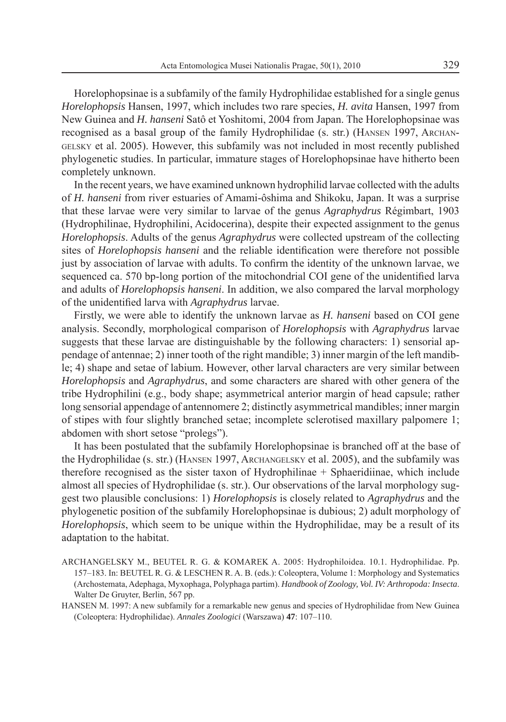Horelophopsinae is a subfamily of the family Hydrophilidae established for a single genus *Horelophopsis* Hansen, 1997, which includes two rare species, *H. avita* Hansen, 1997 from New Guinea and *H. hanseni* Satô et Yoshitomi, 2004 from Japan. The Horelophopsinae was recognised as a basal group of the family Hydrophilidae (s. str.) (HANSEN 1997, ARCHAN-GELSKY et al. 2005). However, this subfamily was not included in most recently published phylogenetic studies. In particular, immature stages of Horelophopsinae have hitherto been completely unknown.

In the recent years, we have examined unknown hydrophilid larvae collected with the adults of *H. hanseni* from river estuaries of Amami-ôshima and Shikoku, Japan. It was a surprise that these larvae were very similar to larvae of the genus *Agraphydrus* Régimbart, 1903 (Hydrophilinae, Hydrophilini, Acidocerina), despite their expected assignment to the genus *Horelophopsis*. Adults of the genus *Agraphydrus* were collected upstream of the collecting sites of *Horelophopsis hanseni* and the reliable identification were therefore not possible just by association of larvae with adults. To confirm the identity of the unknown larvae, we sequenced ca. 570 bp-long portion of the mitochondrial COI gene of the unidentified larva and adults of *Horelophopsis hanseni*. In addition, we also compared the larval morphology of the unidentified larva with *Agraphydrus* larvae.

Firstly, we were able to identify the unknown larvae as *H. hanseni* based on COI gene analysis. Secondly, morphological comparison of *Horelophopsis* with *Agraphydrus* larvae suggests that these larvae are distinguishable by the following characters: 1) sensorial appendage of antennae; 2) inner tooth of the right mandible; 3) inner margin of the left mandible; 4) shape and setae of labium. However, other larval characters are very similar between *Horelophopsis* and *Agraphydrus*, and some characters are shared with other genera of the tribe Hydrophilini (e.g., body shape; asymmetrical anterior margin of head capsule; rather long sensorial appendage of antennomere 2; distinctly asymmetrical mandibles; inner margin of stipes with four slightly branched setae; incomplete sclerotised maxillary palpomere 1; abdomen with short setose "prolegs").

It has been postulated that the subfamily Horelophopsinae is branched off at the base of the Hydrophilidae (s. str.) (HANSEN 1997, ARCHANGELSKY et al. 2005), and the subfamily was therefore recognised as the sister taxon of Hydrophilinae  $+$  Sphaeridiinae, which include almost all species of Hydrophilidae (s. str.). Our observations of the larval morphology suggest two plausible conclusions: 1) *Horelophopsis* is closely related to *Agraphydrus* and the phylogenetic position of the subfamily Horelophopsinae is dubious; 2) adult morphology of *Horelophopsis*, which seem to be unique within the Hydrophilidae, may be a result of its adaptation to the habitat.

ARCHANGELSKY M., BEUTEL R. G. & KOMAREK A. 2005: Hydrophiloidea. 10.1. Hydrophilidae. Pp. 157–183. In: BEUTEL R. G. & LESCHEN R. A. B. (eds.): Coleoptera, Volume 1: Morphology and Systematics (Archostemata, Adephaga, Myxophaga, Polyphaga partim). *Handbook of Zoology, Vol. IV: Arthropoda: Insecta*. Walter De Gruyter, Berlin, 567 pp.

HANSEN M. 1997: A new subfamily for a remarkable new genus and species of Hydrophilidae from New Guinea (Coleoptera: Hydrophilidae). *Annales Zoologici* (Warszawa) **47**: 107–110.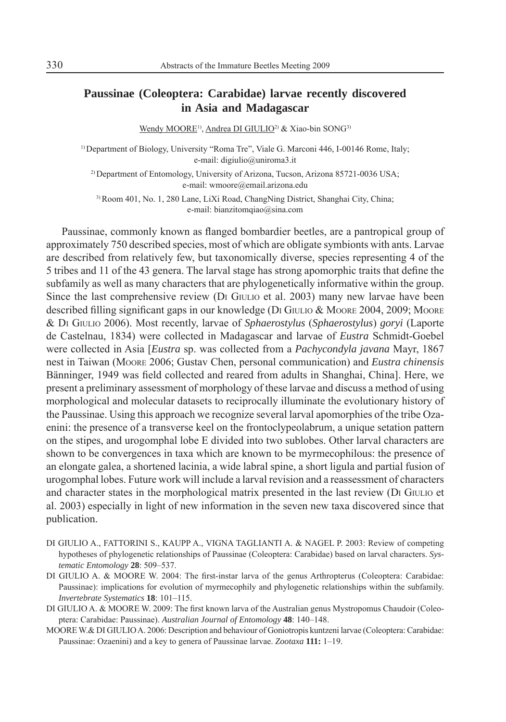# **Paussinae (Coleoptera: Carabidae) larvae recently discovered in Asia and Madagascar**

Wendy MOORE1), Andrea DI GIULIO2) & Xiao-bin SONG3)

<sup>1)</sup> Department of Biology, University "Roma Tre", Viale G. Marconi 446, I-00146 Rome, Italy; e-mail: digiulio@uniroma3.it

2) Department of Entomology, University of Arizona, Tucson, Arizona 85721-0036 USA; e-mail: wmoore@email.arizona.edu

3) Room 401, No. 1, 280 Lane, LiXi Road, ChangNing District, Shanghai City, China; e-mail: bianzitomqiao@sina.com

Paussinae, commonly known as flanged bombardier beetles, are a pantropical group of approximately 750 described species, most of which are obligate symbionts with ants. Larvae are described from relatively few, but taxonomically diverse, species representing 4 of the 5 tribes and 11 of the 43 genera. The larval stage has strong apomorphic traits that define the subfamily as well as many characters that are phylogenetically informative within the group. Since the last comprehensive review (DI GIULIO et al. 2003) many new larvae have been described filling significant gaps in our knowledge (DI GIULIO & MOORE 2004, 2009; MOORE & DI GIULIO 2006). Most recently, larvae of *Sphaerostylus* (*Sphaerostylus*) *goryi* (Laporte de Castelnau, 1834) were collected in Madagascar and larvae of *Eustra* Schmidt-Goebel were collected in Asia [*Eustra* sp. was collected from a *Pachycondyla javana* Mayr, 1867 nest in Taiwan (MOORE 2006; Gustav Chen, personal communication) and *Eustra chinensis* Bänninger, 1949 was field collected and reared from adults in Shanghai, Chinal. Here, we present a preliminary assessment of morphology of these larvae and discuss a method of using morphological and molecular datasets to reciprocally illuminate the evolutionary history of the Paussinae. Using this approach we recognize several larval apomorphies of the tribe Ozaenini: the presence of a transverse keel on the frontoclypeolabrum, a unique setation pattern on the stipes, and urogomphal lobe E divided into two sublobes. Other larval characters are shown to be convergences in taxa which are known to be myrmecophilous: the presence of an elongate galea, a shortened lacinia, a wide labral spine, a short ligula and partial fusion of urogomphal lobes. Future work will include a larval revision and a reassessment of characters and character states in the morphological matrix presented in the last review (DI GIULIO et al. 2003) especially in light of new information in the seven new taxa discovered since that publication.

- DI GIULIO A., FATTORINI S., KAUPP A., VIGNA TAGLIANTI A. & NAGEL P. 2003: Review of competing hypotheses of phylogenetic relationships of Paussinae (Coleoptera: Carabidae) based on larval characters. *Systematic Entomology* **28**: 509–537.
- DI GIULIO A. & MOORE W. 2004: The first-instar larva of the genus Arthropterus (Coleoptera: Carabidae: Paussinae): implications for evolution of myrmecophily and phylogenetic relationships within the subfamily. *Invertebrate Systematics* **18**: 101–115.
- DI GIULIO A. & MOORE W. 2009: The first known larva of the Australian genus Mystropomus Chaudoir (Coleoptera: Carabidae: Paussinae). *Australian Journal of Entomology* **48**: 140–148.
- MOORE W.& DI GIULIO A. 2006: Description and behaviour of Goniotropis kuntzeni larvae (Coleoptera: Carabidae: Paussinae: Ozaenini) and a key to genera of Paussinae larvae. *Zootaxa* **111:** 1–19.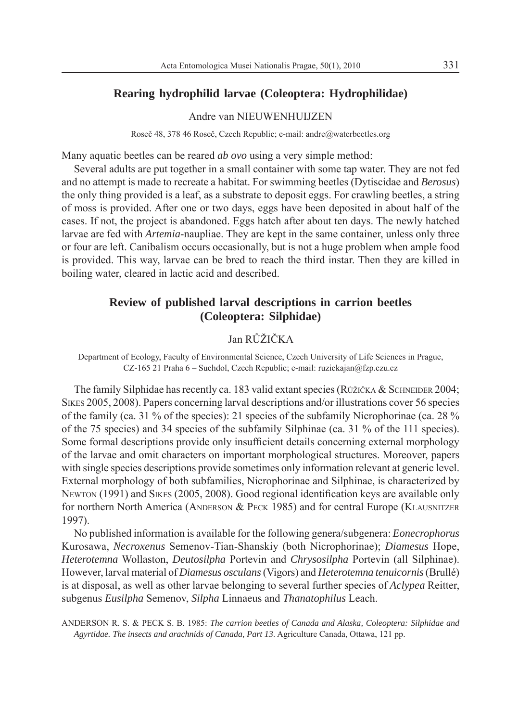### **Rearing hydrophilid larvae (Coleoptera: Hydrophilidae)**

#### Andre van NIEUWENHUIJZEN

Roseč 48, 378 46 Roseč, Czech Republic; e-mail: andre@waterbeetles.org

Many aquatic beetles can be reared *ab ovo* using a very simple method:

Several adults are put together in a small container with some tap water. They are not fed and no attempt is made to recreate a habitat. For swimming beetles (Dytiscidae and *Berosus*) the only thing provided is a leaf, as a substrate to deposit eggs. For crawling beetles, a string of moss is provided. After one or two days, eggs have been deposited in about half of the cases. If not, the project is abandoned. Eggs hatch after about ten days. The newly hatched larvae are fed with *Artemia*-naupliae. They are kept in the same container, unless only three or four are left. Canibalism occurs occasionally, but is not a huge problem when ample food is provided. This way, larvae can be bred to reach the third instar. Then they are killed in boiling water, cleared in lactic acid and described.

# **Review of published larval descriptions in carrion beetles (Coleoptera: Silphidae)**

# Jan RŮŽIČKA

Department of Ecology, Faculty of Environmental Science, Czech University of Life Sciences in Prague, CZ-165 21 Praha 6 – Suchdol, Czech Republic; e-mail: ruzickajan@fzp.czu.cz

The family Silphidae has recently ca. 183 valid extant species (RŮŽIČKA & SCHNEIDER 2004; SIKES 2005, 2008). Papers concerning larval descriptions and/or illustrations cover 56 species of the family (ca. 31 % of the species): 21 species of the subfamily Nicrophorinae (ca. 28 % of the 75 species) and 34 species of the subfamily Silphinae (ca. 31 % of the 111 species). Some formal descriptions provide only insufficient details concerning external morphology of the larvae and omit characters on important morphological structures. Moreover, papers with single species descriptions provide sometimes only information relevant at generic level. External morphology of both subfamilies, Nicrophorinae and Silphinae, is characterized by NEWTON (1991) and SIKES (2005, 2008). Good regional identification keys are available only for northern North America (ANDERSON & PECK 1985) and for central Europe (KLAUSNITZER 1997).

No published information is available for the following genera/subgenera: *Eonecrophorus* Kurosawa, *Necroxenus* Semenov-Tian-Shanskiy (both Nicrophorinae); *Diamesus* Hope, *Heterotemna* Wollaston, *Deutosilpha* Portevin and *Chrysosilpha* Portevin (all Silphinae). However, larval material of *Diamesus osculans* (Vigors) and *Heterotemna tenuicornis* (Brullé) is at disposal, as well as other larvae belonging to several further species of *Aclypea* Reitter, subgenus *Eusilpha* Semenov, *Silpha* Linnaeus and *Thanatophilus* Leach.

ANDERSON R. S. & PECK S. B. 1985: *The carrion beetles of Canada and Alaska, Coleoptera: Silphidae and Agyrtidae. The insects and arachnids of Canada, Part 13*. Agriculture Canada, Ottawa, 121 pp.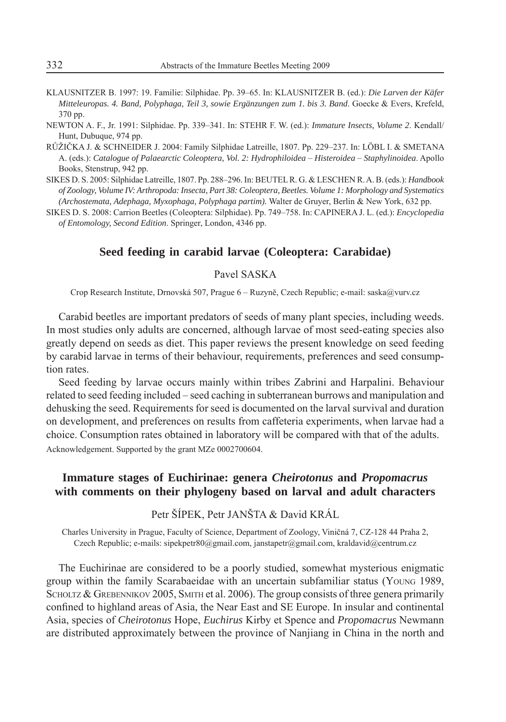- KLAUSNITZER B. 1997: 19. Familie: Silphidae. Pp. 39–65. In: KLAUSNITZER B. (ed.): *Die Larven der Käfer Mitteleuropas. 4. Band, Polyphaga, Teil 3, sowie Ergänzungen zum 1. bis 3. Band*. Goecke & Evers, Krefeld, 370 pp.
- NEWTON A. F., Jr. 1991: Silphidae. Pp. 339–341. In: STEHR F. W. (ed.): *Immature Insects, Volume 2*. Kendall/ Hunt, Dubuque, 974 pp.
- RŮŽIČKA J. & SCHNEIDER J. 2004: Family Silphidae Latreille, 1807. Pp. 229–237. In: LÖBL I. & SMETANA A. (eds.): *Catalogue of Palaearctic Coleoptera, Vol. 2: Hydrophiloidea* – *Histeroidea* – *Staphylinoidea*. Apollo Books, Stenstrup, 942 pp.
- SIKES D. S. 2005: Silphidae Latreille, 1807. Pp. 288–296. In: BEUTEL R. G. & LESCHEN R. A. B. (eds.): *Handbook of Zoology, Volume IV: Arthropoda: Insecta, Part 38: Coleoptera, Beetles. Volume 1: Morphology and Systematics (Archostemata, Adephaga, Myxophaga, Polyphaga partim).* Walter de Gruyer, Berlin & New York, 632 pp.
- SIKES D. S. 2008: Carrion Beetles (Coleoptera: Silphidae). Pp. 749–758. In: CAPINERA J. L. (ed.): *Encyclopedia of Entomology, Second Edition*. Springer, London, 4346 pp.

### **Seed feeding in carabid larvae (Coleoptera: Carabidae)**

### Pavel SASKA

Crop Research Institute, Drnovská 507, Prague 6 – Ruzyně, Czech Republic; e-mail: saska@vurv.cz

Carabid beetles are important predators of seeds of many plant species, including weeds. In most studies only adults are concerned, although larvae of most seed-eating species also greatly depend on seeds as diet. This paper reviews the present knowledge on seed feeding by carabid larvae in terms of their behaviour, requirements, preferences and seed consumption rates.

Seed feeding by larvae occurs mainly within tribes Zabrini and Harpalini. Behaviour related to seed feeding included – seed caching in subterranean burrows and manipulation and dehusking the seed. Requirements for seed is documented on the larval survival and duration on development, and preferences on results from caffeteria experiments, when larvae had a choice. Consumption rates obtained in laboratory will be compared with that of the adults. Acknowledgement. Supported by the grant MZe 0002700604.

# **Immature stages of Euchirinae: genera** *Cheirotonus* **and** *Propomacrus*  **with comments on their phylogeny based on larval and adult characters**

Petr ŠÍPEK, Petr JANŠTA & David KRÁL

Charles University in Prague, Faculty of Science, Department of Zoology, Viničná 7, CZ-128 44 Praha 2, Czech Republic; e-mails: sipekpetr80@gmail.com, janstapetr@gmail.com, kraldavid@centrum.cz

The Euchirinae are considered to be a poorly studied, somewhat mysterious enigmatic group within the family Scarabaeidae with an uncertain subfamiliar status (YOUNG 1989, SCHOLTZ  $&$  GREBENNIKOV 2005, SMITH et al. 2006). The group consists of three genera primarily confined to highland areas of Asia, the Near East and SE Europe. In insular and continental Asia, species of *Cheirotonus* Hope, *Euchirus* Kirby et Spence and *Propomacrus* Newmann are distributed approximately between the province of Nanjiang in China in the north and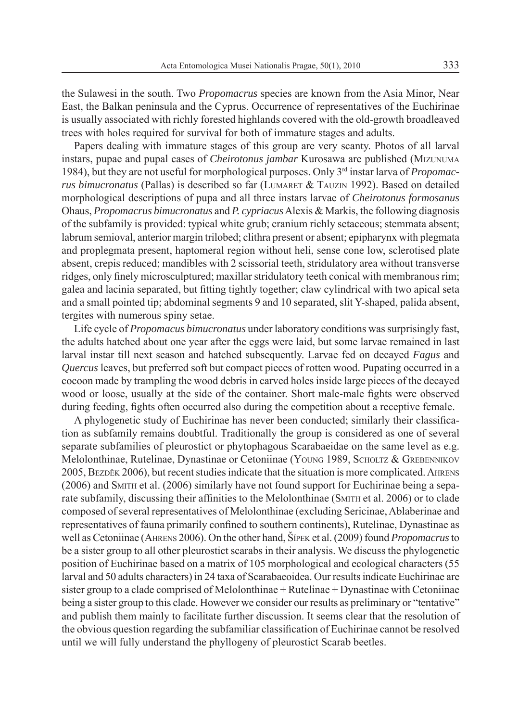the Sulawesi in the south. Two *Propomacrus* species are known from the Asia Minor, Near East, the Balkan peninsula and the Cyprus. Occurrence of representatives of the Euchirinae is usually associated with richly forested highlands covered with the old-growth broadleaved trees with holes required for survival for both of immature stages and adults.

Papers dealing with immature stages of this group are very scanty. Photos of all larval instars, pupae and pupal cases of *Cheirotonus jambar* Kurosawa are published (MIZUNUMA 1984), but they are not useful for morphological purposes. Only 3rd instar larva of *Propomacrus bimucronatus* (Pallas) is described so far (LUMARET & TAUZIN 1992). Based on detailed morphological descriptions of pupa and all three instars larvae of *Cheirotonus formosanus* Ohaus, *Propomacrus bimucronatus* and *P. cypriacus* Alexis & Markis, the following diagnosis of the subfamily is provided: typical white grub; cranium richly setaceous; stemmata absent; labrum semioval, anterior margin trilobed; clithra present or absent; epipharynx with plegmata and proplegmata present, haptomeral region without heli, sense cone low, sclerotised plate absent, crepis reduced; mandibles with 2 scissorial teeth, stridulatory area without transverse ridges, only finely microsculptured; maxillar stridulatory teeth conical with membranous rim; galea and lacinia separated, but fitting tightly together; claw cylindrical with two apical seta and a small pointed tip; abdominal segments 9 and 10 separated, slit Y-shaped, palida absent, tergites with numerous spiny setae.

Life cycle of *Propomacus bimucronatus* under laboratory conditions was surprisingly fast, the adults hatched about one year after the eggs were laid, but some larvae remained in last larval instar till next season and hatched subsequently. Larvae fed on decayed *Fagus* and *Quercus* leaves, but preferred soft but compact pieces of rotten wood. Pupating occurred in a cocoon made by trampling the wood debris in carved holes inside large pieces of the decayed wood or loose, usually at the side of the container. Short male-male fights were observed during feeding, fights often occurred also during the competition about a receptive female.

A phylogenetic study of Euchirinae has never been conducted; similarly their classification as subfamily remains doubtful. Traditionally the group is considered as one of several separate subfamilies of pleurostict or phytophagous Scarabaeidae on the same level as e.g. Melolonthinae, Rutelinae, Dynastinae or Cetoniinae (YOUNG 1989, SCHOLTZ & GREBENNIKOV 2005, BEZDĚK 2006), but recent studies indicate that the situation is more complicated. AHRENS (2006) and SMITH et al. (2006) similarly have not found support for Euchirinae being a separate subfamily, discussing their affinities to the Melolonthinae (SMITH et al. 2006) or to clade composed of several representatives of Melolonthinae (excluding Sericinae, Ablaberinae and representatives of fauna primarily confined to southern continents), Rutelinae, Dynastinae as well as Cetoniinae (AHRENS 2006). On the other hand, ŠÍPEK et al. (2009) found *Propomacrus* to be a sister group to all other pleurostict scarabs in their analysis. We discuss the phylogenetic position of Euchirinae based on a matrix of 105 morphological and ecological characters (55 larval and 50 adults characters) in 24 taxa of Scarabaeoidea. Our results indicate Euchirinae are sister group to a clade comprised of Melolonthinae + Rutelinae + Dynastinae with Cetoniinae being a sister group to this clade. However we consider our results as preliminary or "tentative" and publish them mainly to facilitate further discussion. It seems clear that the resolution of the obvious question regarding the subfamiliar classification of Euchirinae cannot be resolved until we will fully understand the phyllogeny of pleurostict Scarab beetles.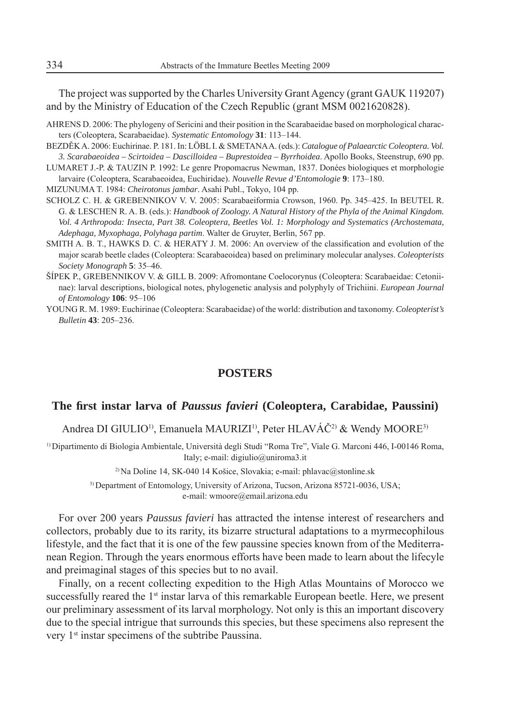The project was supported by the Charles University Grant Agency (grant GAUK 119207) and by the Ministry of Education of the Czech Republic (grant MSM 0021620828).

- AHRENS D. 2006: The phylogeny of Sericini and their position in the Scarabaeidae based on morphological characters (Coleoptera, Scarabaeidae). *Systematic Entomology* **31**: 113–144.
- BEZDĚK A. 2006: Euchirinae. P. 181. In: LÖBL I. & SMETANA A. (eds.): *Catalogue of Palaearctic Coleoptera. Vol. 3. Scarabaeoidea – Scirtoidea – Dascilloidea – Buprestoidea – Byrrhoidea*. Apollo Books, Steenstrup, 690 pp.
- LUMARET J.-P. & TAUZIN P. 1992: Le genre Propomacrus Newman, 1837. Donées biologiques et morphologie larvaire (Coleoptera, Scarabaeoidea, Euchiridae). *Nouvelle Revue d'Entomologie* **9**: 173–180.

MIZUNUMA T. 1984: *Cheirotonus jambar*. Asahi Publ., Tokyo, 104 pp.

- SCHOLZ C. H. & GREBENNIKOV V. V. 2005: Scarabaeiformia Crowson, 1960. Pp. 345–425. In BEUTEL R. G. & LESCHEN R. A. B. (eds.): *Handbook of Zoology. A Natural History of the Phyla of the Animal Kingdom. Vol. 4 Arthropoda: Insecta, Part 38. Coleoptera, Beetles Vol. 1: Morphology and Systematics (Archostemata, Adephaga, Myxophaga, Polyhaga partim*. Walter de Gruyter, Berlin, 567 pp.
- SMITH A. B. T., HAWKS D. C. & HERATY J. M. 2006: An overview of the classification and evolution of the major scarab beetle clades (Coleoptera: Scarabaeoidea) based on preliminary molecular analyses. *Coleopterists Society Monograph* **5**: 35–46.
- ŠÍPEK P., GREBENNIKOV V. & GILL B. 2009: Afromontane Coelocorynus (Coleoptera: Scarabaeidae: Cetoniinae): larval descriptions, biological notes, phylogenetic analysis and polyphyly of Trichiini. *European Journal of Entomology* **106**: 95–106
- YOUNG R. M. 1989: Euchirinae (Coleoptera: Scarabaeidae) of the world: distribution and taxonomy. *Coleopterist's Bulletin* **43**: 205–236.

### **POSTERS**

#### **The fi rst instar larva of** *Paussus favieri* **(Coleoptera, Carabidae, Paussini)**

Andrea DI GIULIO<sup>1)</sup>, Emanuela MAURIZI<sup>1)</sup>, Peter HLAVÁČ<sup>2)</sup> & Wendy MOORE<sup>3)</sup>

1) Dipartimento di Biologia Ambientale, Università degli Studi "Roma Tre", Viale G. Marconi 446, I-00146 Roma, Italy; e-mail: digiulio@uniroma3.it

2) Na Doline 14, SK-040 14 Košice, Slovakia; e-mail: phlavac@stonline.sk

3) Department of Entomology, University of Arizona, Tucson, Arizona 85721-0036, USA; e-mail: wmoore@email.arizona.edu

For over 200 years *Paussus favieri* has attracted the intense interest of researchers and collectors, probably due to its rarity, its bizarre structural adaptations to a myrmecophilous lifestyle, and the fact that it is one of the few paussine species known from of the Mediterranean Region. Through the years enormous efforts have been made to learn about the lifecyle and preimaginal stages of this species but to no avail.

Finally, on a recent collecting expedition to the High Atlas Mountains of Morocco we successfully reared the  $1<sup>st</sup>$  instar larva of this remarkable European beetle. Here, we present our preliminary assessment of its larval morphology. Not only is this an important discovery due to the special intrigue that surrounds this species, but these specimens also represent the very 1st instar specimens of the subtribe Paussina.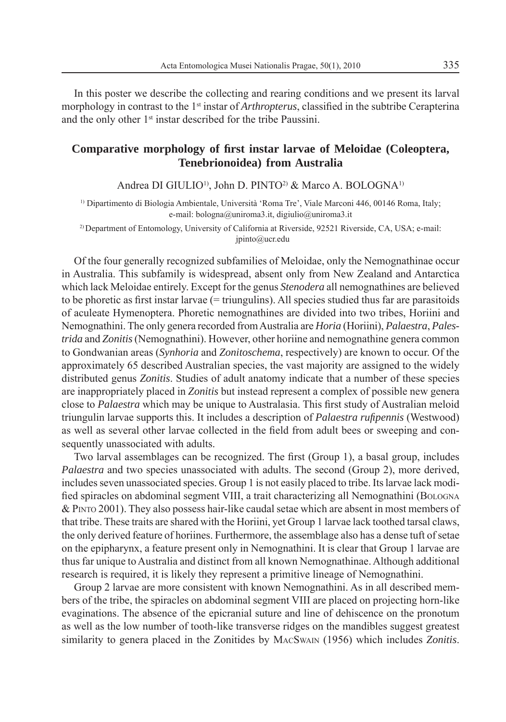In this poster we describe the collecting and rearing conditions and we present its larval morphology in contrast to the 1<sup>st</sup> instar of *Arthropterus*, classified in the subtribe Cerapterina and the only other 1<sup>st</sup> instar described for the tribe Paussini.

# **Comparative morphology of fi rst instar larvae of Meloidae (Coleoptera, Tenebrionoidea) from Australia**

Andrea DI GIULIO<sup>1)</sup>, John D. PINTO<sup>2)</sup> & Marco A. BOLOGNA<sup>1)</sup>

1) Dipartimento di Biologia Ambientale, Università 'Roma Tre', Viale Marconi 446, 00146 Roma, Italy; e-mail: bologna@uniroma3.it, digiulio@uniroma3.it

2) Department of Entomology, University of California at Riverside, 92521 Riverside, CA, USA; e-mail: jpinto@ucr.edu

Of the four generally recognized subfamilies of Meloidae, only the Nemognathinae occur in Australia. This subfamily is widespread, absent only from New Zealand and Antarctica which lack Meloidae entirely. Except for the genus *Stenodera* all nemognathines are believed to be phoretic as first instar larvae  $($  = triungulins). All species studied thus far are parasitoids of aculeate Hymenoptera. Phoretic nemognathines are divided into two tribes, Horiini and Nemognathini. The only genera recorded from Australia are *Horia* (Horiini), *Palaestra*, *Palestrida* and *Zonitis* (Nemognathini). However, other horiine and nemognathine genera common to Gondwanian areas (*Synhoria* and *Zonitoschema*, respectively) are known to occur. Of the approximately 65 described Australian species, the vast majority are assigned to the widely distributed genus *Zonitis*. Studies of adult anatomy indicate that a number of these species are inappropriately placed in *Zonitis* but instead represent a complex of possible new genera close to *Palaestra* which may be unique to Australasia. This first study of Australian meloid triungulin larvae supports this. It includes a description of *Palaestra rufi pennis* (Westwood) as well as several other larvae collected in the field from adult bees or sweeping and consequently unassociated with adults.

Two larval assemblages can be recognized. The first (Group 1), a basal group, includes *Palaestra* and two species unassociated with adults. The second (Group 2), more derived, includes seven unassociated species. Group 1 is not easily placed to tribe. Its larvae lack modified spiracles on abdominal segment VIII, a trait characterizing all Nemognathini (BOLOGNA & PINTO 2001). They also possess hair-like caudal setae which are absent in most members of that tribe. These traits are shared with the Horiini, yet Group 1 larvae lack toothed tarsal claws, the only derived feature of horiines. Furthermore, the assemblage also has a dense tuft of setae on the epipharynx, a feature present only in Nemognathini. It is clear that Group 1 larvae are thus far unique to Australia and distinct from all known Nemognathinae. Although additional research is required, it is likely they represent a primitive lineage of Nemognathini.

Group 2 larvae are more consistent with known Nemognathini. As in all described members of the tribe, the spiracles on abdominal segment VIII are placed on projecting horn-like evaginations. The absence of the epicranial suture and line of dehiscence on the pronotum as well as the low number of tooth-like transverse ridges on the mandibles suggest greatest similarity to genera placed in the Zonitides by MACSWAIN (1956) which includes *Zonitis*.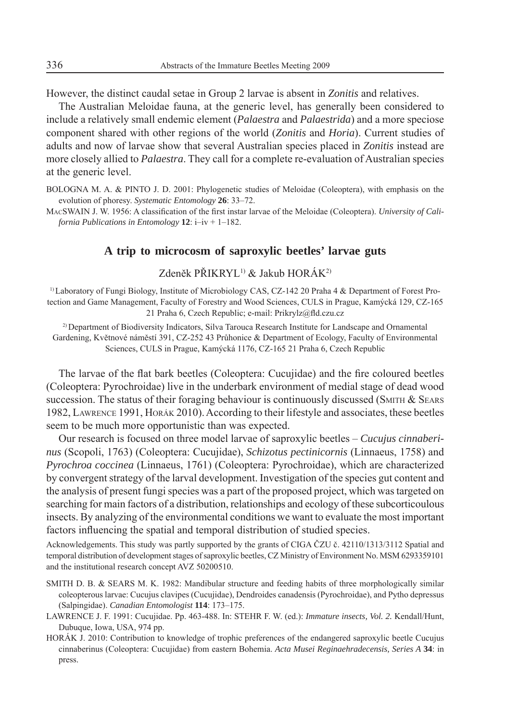However, the distinct caudal setae in Group 2 larvae is absent in *Zonitis* and relatives.

The Australian Meloidae fauna, at the generic level, has generally been considered to include a relatively small endemic element (*Palaestra* and *Palaestrida*) and a more speciose component shared with other regions of the world (*Zonitis* and *Horia*). Current studies of adults and now of larvae show that several Australian species placed in *Zonitis* instead are more closely allied to *Palaestra*. They call for a complete re-evaluation of Australian species at the generic level.

BOLOGNA M. A. & PINTO J. D. 2001: Phylogenetic studies of Meloidae (Coleoptera), with emphasis on the evolution of phoresy. *Systematic Entomology* **26**: 33–72.

MACSWAIN J. W. 1956: A classification of the first instar larvae of the Meloidae (Coleoptera). *University of California Publications in Entomology* **12**: i–iv + 1–182.

# **A trip to microcosm of saproxylic beetles' larvae guts**

# Zdeněk PŘIKRYL1) & Jakub HORÁK2)

1) Laboratory of Fungi Biology, Institute of Microbiology CAS, CZ-142 20 Praha 4 & Department of Forest Protection and Game Management, Faculty of Forestry and Wood Sciences, CULS in Prague, Kamýcká 129, CZ-165 21 Praha 6, Czech Republic; e-mail: Prikrylz@fld.czu.cz

2) Department of Biodiversity Indicators, Silva Tarouca Research Institute for Landscape and Ornamental Gardening, Květnové náměstí 391, CZ-252 43 Průhonice & Department of Ecology, Faculty of Environmental Sciences, CULS in Prague, Kamýcká 1176, CZ-165 21 Praha 6, Czech Republic

The larvae of the flat bark beetles (Coleoptera: Cucujidae) and the fire coloured beetles (Coleoptera: Pyrochroidae) live in the underbark environment of medial stage of dead wood succession. The status of their foraging behaviour is continuously discussed (SMITH  $\&$  SEARS 1982, LAWRENCE 1991, HORÁK 2010). According to their lifestyle and associates, these beetles seem to be much more opportunistic than was expected.

Our research is focused on three model larvae of saproxylic beetles – *Cucujus cinnaberinus* (Scopoli, 1763) (Coleoptera: Cucujidae), *Schizotus pectinicornis* (Linnaeus, 1758) and *Pyrochroa coccinea* (Linnaeus, 1761) (Coleoptera: Pyrochroidae), which are characterized by convergent strategy of the larval development. Investigation of the species gut content and the analysis of present fungi species was a part of the proposed project, which was targeted on searching for main factors of a distribution, relationships and ecology of these subcorticoulous insects. By analyzing of the environmental conditions we want to evaluate the most important factors influencing the spatial and temporal distribution of studied species.

Acknowledgements. This study was partly supported by the grants of CIGA ČZU č. 42110/1313/3112 Spatial and temporal distribution of development stages of saproxylic beetles, CZ Ministry of Environment No. MSM 6293359101 and the institutional research concept AVZ 50200510.

- SMITH D. B. & SEARS M. K. 1982: Mandibular structure and feeding habits of three morphologically similar coleopterous larvae: Cucujus clavipes (Cucujidae), Dendroides canadensis (Pyrochroidae), and Pytho depressus (Salpingidae). *Canadian Entomologist* **114**: 173–175.
- LAWRENCE J. F. 1991: Cucujidae. Pp. 463-488. In: STEHR F. W. (ed.): *Immature insects, Vol. 2.* Kendall/Hunt, Dubuque, Iowa, USA, 974 pp.
- HORÁK J. 2010: Contribution to knowledge of trophic preferences of the endangered saproxylic beetle Cucujus cinnaberinus (Coleoptera: Cucujidae) from eastern Bohemia. *Acta Musei Reginaehradecensis, Series A* **34**: in press.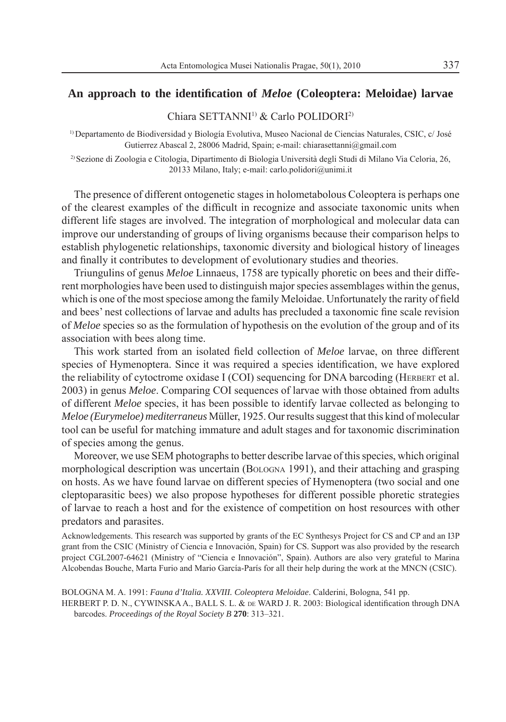# **An approach to the identifi cation of** *Meloe* **(Coleoptera: Meloidae) larvae**

Chiara SETTANNI1) & Carlo POLIDORI2)

1) Departamento de Biodiversidad y Biología Evolutiva, Museo Nacional de Ciencias Naturales, CSIC, c/ José Gutierrez Abascal 2, 28006 Madrid, Spain; e-mail: chiarasettanni@gmail.com

2) Sezione di Zoologia e Citologia, Dipartimento di Biologia Università degli Studi di Milano Via Celoria, 26, 20133 Milano, Italy; e-mail: carlo.polidori@unimi.it

The presence of different ontogenetic stages in holometabolous Coleoptera is perhaps one of the clearest examples of the difficult in recognize and associate taxonomic units when different life stages are involved. The integration of morphological and molecular data can improve our understanding of groups of living organisms because their comparison helps to establish phylogenetic relationships, taxonomic diversity and biological history of lineages and finally it contributes to development of evolutionary studies and theories.

Triungulins of genus *Meloe* Linnaeus, 1758 are typically phoretic on bees and their different morphologies have been used to distinguish major species assemblages within the genus, which is one of the most speciose among the family Meloidae. Unfortunately the rarity of field and bees' nest collections of larvae and adults has precluded a taxonomic fine scale revision of *Meloe* species so as the formulation of hypothesis on the evolution of the group and of its association with bees along time.

This work started from an isolated field collection of *Meloe* larvae, on three different species of Hymenoptera. Since it was required a species identification, we have explored the reliability of cytoctrome oxidase I (COI) sequencing for DNA barcoding (HERBERT et al. 2003) in genus *Meloe*. Comparing COI sequences of larvae with those obtained from adults of different *Meloe* species, it has been possible to identify larvae collected as belonging to *Meloe (Eurymeloe) mediterraneus* Müller, 1925. Our results suggest that this kind of molecular tool can be useful for matching immature and adult stages and for taxonomic discrimination of species among the genus.

Moreover, we use SEM photographs to better describe larvae of this species, which original morphological description was uncertain (BOLOGNA 1991), and their attaching and grasping on hosts. As we have found larvae on different species of Hymenoptera (two social and one cleptoparasitic bees) we also propose hypotheses for different possible phoretic strategies of larvae to reach a host and for the existence of competition on host resources with other predators and parasites.

Acknowledgements. This research was supported by grants of the EC Synthesys Project for CS and CP and an I3P grant from the CSIC (Ministry of Ciencia e Innovación, Spain) for CS. Support was also provided by the research project CGL2007-64621 (Ministry of "Ciencia e Innovación", Spain). Authors are also very grateful to Marina Alcobendas Bouche, Marta Furio and Mario García-París for all their help during the work at the MNCN (CSIC).

BOLOGNA M. A. 1991: *Fauna d'Italia. XXVIII. Coleoptera Meloidae*. Calderini, Bologna, 541 pp.

HERBERT P. D. N., CYWINSKA A., BALL S. L. & DE WARD J. R. 2003: Biological identification through DNA barcodes. *Proceedings of the Royal Society B* **270**: 313–321.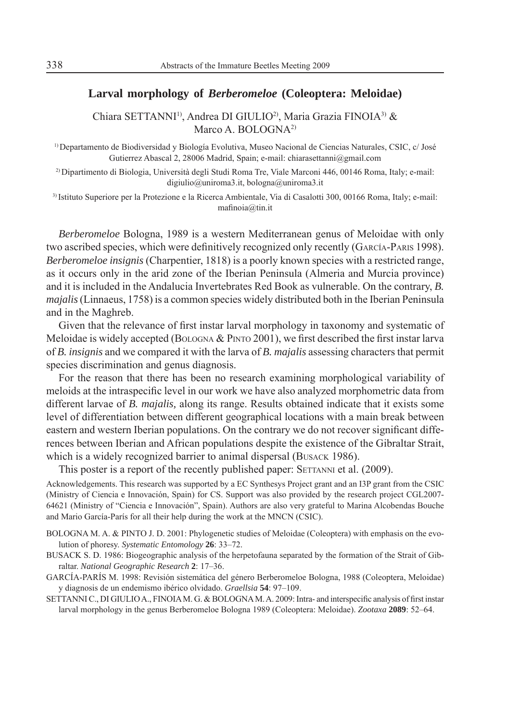### **Larval morphology of** *Berberomeloe* **(Coleoptera: Meloidae)**

Chiara SETTANNI1), Andrea DI GIULIO2), Maria Grazia FINOIA3) & Marco A. BOLOGNA<sup>2)</sup>

1) Departamento de Biodiversidad y Biología Evolutiva, Museo Nacional de Ciencias Naturales, CSIC, c/ José Gutierrez Abascal 2, 28006 Madrid, Spain; e-mail: chiarasettanni@gmail.com

2) Dipartimento di Biologia, Università degli Studi Roma Tre, Viale Marconi 446, 00146 Roma, Italy; e-mail: digiulio@uniroma3.it, bologna@uniroma3.it

3) Istituto Superiore per la Protezione e la Ricerca Ambientale, Via di Casalotti 300, 00166 Roma, Italy; e-mail:  $mafinoia@tin.it$ 

*Berberomeloe* Bologna, 1989 is a western Mediterranean genus of Meloidae with only two ascribed species, which were definitively recognized only recently (GARCÍA-PARIS 1998). *Berberomeloe insignis* (Charpentier, 1818) is a poorly known species with a restricted range, as it occurs only in the arid zone of the Iberian Peninsula (Almeria and Murcia province) and it is included in the Andalucia Invertebrates Red Book as vulnerable. On the contrary, *B. majalis* (Linnaeus, 1758) is a common species widely distributed both in the Iberian Peninsula and in the Maghreb.

Given that the relevance of first instar larval morphology in taxonomy and systematic of Meloidae is widely accepted (BOLOGNA  $&$  PINTO 2001), we first described the first instar larva of *B. insignis* and we compared it with the larva of *B. majalis* assessing characters that permit species discrimination and genus diagnosis.

For the reason that there has been no research examining morphological variability of meloids at the intraspecific level in our work we have also analyzed morphometric data from different larvae of *B. majalis,* along its range. Results obtained indicate that it exists some level of differentiation between different geographical locations with a main break between eastern and western Iberian populations. On the contrary we do not recover significant differences between Iberian and African populations despite the existence of the Gibraltar Strait, which is a widely recognized barrier to animal dispersal (BUSACK 1986).

This poster is a report of the recently published paper: SETTANNI et al. (2009).

Acknowledgements. This research was supported by a EC Synthesys Project grant and an I3P grant from the CSIC (Ministry of Ciencia e Innovación, Spain) for CS. Support was also provided by the research project CGL2007- 64621 (Ministry of "Ciencia e Innovación", Spain). Authors are also very grateful to Marina Alcobendas Bouche and Mario García-París for all their help during the work at the MNCN (CSIC).

- BOLOGNA M. A. & PINTO J. D. 2001: Phylogenetic studies of Meloidae (Coleoptera) with emphasis on the evolution of phoresy. *Systematic Entomology* **26**: 33–72.
- BUSACK S. D. 1986: Biogeographic analysis of the herpetofauna separated by the formation of the Strait of Gibraltar. *National Geographic Research* **2**: 17–36.
- GARCÍA-PARÍS M. 1998: Revisión sistemática del género Berberomeloe Bologna, 1988 (Coleoptera, Meloidae) y diagnosis de un endemismo ibérico olvidado. *Graellsia* **54**: 97–109.

SETTANNI C., DI GIULIO A., FINOIA M. G. & BOLOGNAM. A. 2009: Intra- and interspecific analysis of first instar larval morphology in the genus Berberomeloe Bologna 1989 (Coleoptera: Meloidae). *Zootaxa* **2089**: 52–64.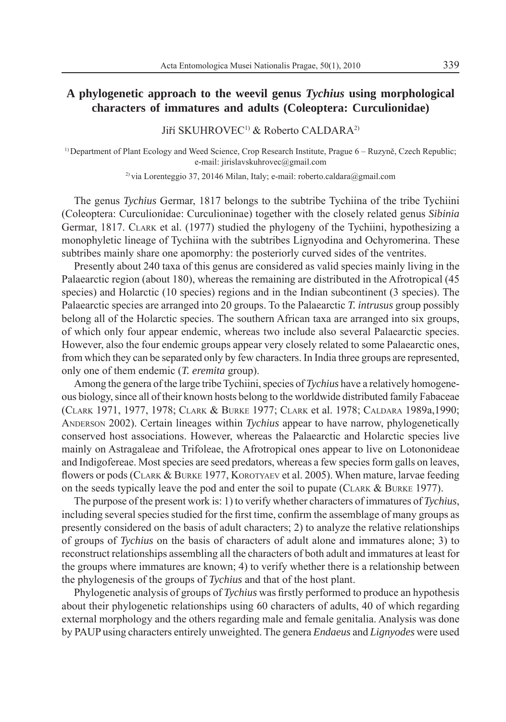# **A phylogenetic approach to the weevil genus** *Tychius* **using morphological characters of immatures and adults (Coleoptera: Curculionidae)**

Jiří SKUHROVEC<sup>1)</sup> & Roberto CALDARA<sup>2)</sup>

1) Department of Plant Ecology and Weed Science, Crop Research Institute, Prague 6 – Ruzyně, Czech Republic; e-mail: jirislavskuhrovec@gmail.com

<sup>2)</sup> via Lorenteggio 37, 20146 Milan, Italy; e-mail: roberto.caldara@gmail.com

The genus *Tychius* Germar, 1817 belongs to the subtribe Tychiina of the tribe Tychiini (Coleoptera: Curculionidae: Curculioninae) together with the closely related genus *Sibinia* Germar, 1817. CLARK et al. (1977) studied the phylogeny of the Tychiini, hypothesizing a monophyletic lineage of Tychiina with the subtribes Lignyodina and Ochyromerina. These subtribes mainly share one apomorphy: the posteriorly curved sides of the ventrites.

Presently about 240 taxa of this genus are considered as valid species mainly living in the Palaearctic region (about 180), whereas the remaining are distributed in the Afrotropical (45 species) and Holarctic (10 species) regions and in the Indian subcontinent (3 species). The Palaearctic species are arranged into 20 groups. To the Palaearctic *T. intrusus* group possibly belong all of the Holarctic species. The southern African taxa are arranged into six groups, of which only four appear endemic, whereas two include also several Palaearctic species. However, also the four endemic groups appear very closely related to some Palaearctic ones, from which they can be separated only by few characters. In India three groups are represented, only one of them endemic (*T. eremita* group).

Among the genera of the large tribe Tychiini, species of *Tychius* have a relatively homogeneous biology, since all of their known hosts belong to the worldwide distributed family Fabaceae (CLARK 1971, 1977, 1978; CLARK & BURKE 1977; CLARK et al. 1978; CALDARA 1989a,1990; ANDERSON 2002). Certain lineages within *Tychius* appear to have narrow, phylogenetically conserved host associations. However, whereas the Palaearctic and Holarctic species live mainly on Astragaleae and Trifoleae, the Afrotropical ones appear to live on Lotononideae and Indigofereae. Most species are seed predators, whereas a few species form galls on leaves, flowers or pods (CLARK & BURKE 1977, KOROTYAEV et al. 2005). When mature, larvae feeding on the seeds typically leave the pod and enter the soil to pupate (CLARK  $& B$ URKE 1977).

The purpose of the present work is: 1) to verify whether characters of immatures of *Tychius*, including several species studied for the first time, confirm the assemblage of many groups as presently considered on the basis of adult characters; 2) to analyze the relative relationships of groups of *Tychius* on the basis of characters of adult alone and immatures alone; 3) to reconstruct relationships assembling all the characters of both adult and immatures at least for the groups where immatures are known; 4) to verify whether there is a relationship between the phylogenesis of the groups of *Tychius* and that of the host plant.

Phylogenetic analysis of groups of *Tychius* was firstly performed to produce an hypothesis about their phylogenetic relationships using 60 characters of adults, 40 of which regarding external morphology and the others regarding male and female genitalia. Analysis was done by PAUP using characters entirely unweighted. The genera *Endaeus* and *Lignyodes* were used